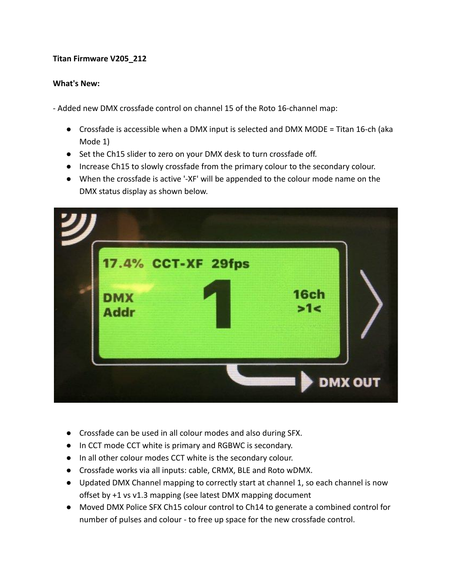## **Titan Firmware V205\_212**

## **What's New:**

- Added new DMX crossfade control on channel 15 of the Roto 16-channel map:

- Crossfade is accessible when a DMX input is selected and DMX MODE = Titan 16-ch (aka Mode 1)
- Set the Ch15 slider to zero on your DMX desk to turn crossfade off.
- Increase Ch15 to slowly crossfade from the primary colour to the secondary colour.
- When the crossfade is active '-XF' will be appended to the colour mode name on the DMX status display as shown below.



- Crossfade can be used in all colour modes and also during SFX.
- In CCT mode CCT white is primary and RGBWC is secondary.
- In all other colour modes CCT white is the secondary colour.
- Crossfade works via all inputs: cable, CRMX, BLE and Roto wDMX.
- Updated DMX Channel mapping to correctly start at channel 1, so each channel is now offset by +1 vs v1.3 mapping (see latest DMX mapping document
- Moved DMX Police SFX Ch15 colour control to Ch14 to generate a combined control for number of pulses and colour - to free up space for the new crossfade control.